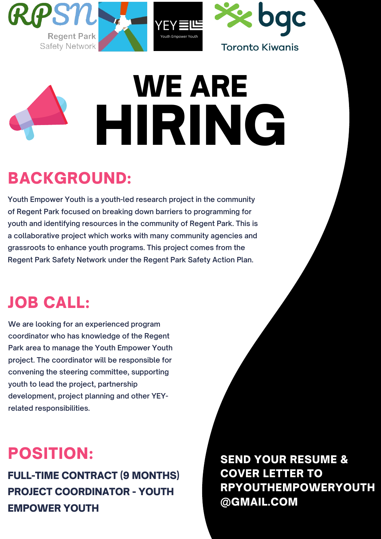



#### **Toronto Kiwanis**



FULL-TIME CONTRACT (9 MONTHS) PROJECT COORDINATOR - YOUTH EMPOWER YOUTH

# POSITION:

**We are looking for an experienced program coordinator who has knowledge of the Regent Park area to manage the Youth Empower Youth project. The coordinator will be responsible for convening the steering committee, supporting youth to lead the project, partnership development, project planning and other YEYrelated responsibilities.**

# JOB CALL:

**Youth Empower Youth is a youth-led research project in the community of Regent Park focused on breaking down barriers to programming for youth and identifying resources in the community of Regent Park. This is a collaborative project which works with many community agencies and grassroots to enhance youth programs. This project comes from the Regent Park Safety Network under the Regent Park Safety Action Plan.**

# BACKGROUND:

SEND YOUR RESUME & COVER LETTER TO RPYOUTHEMPOWERYOUTH @GMAIL.COM